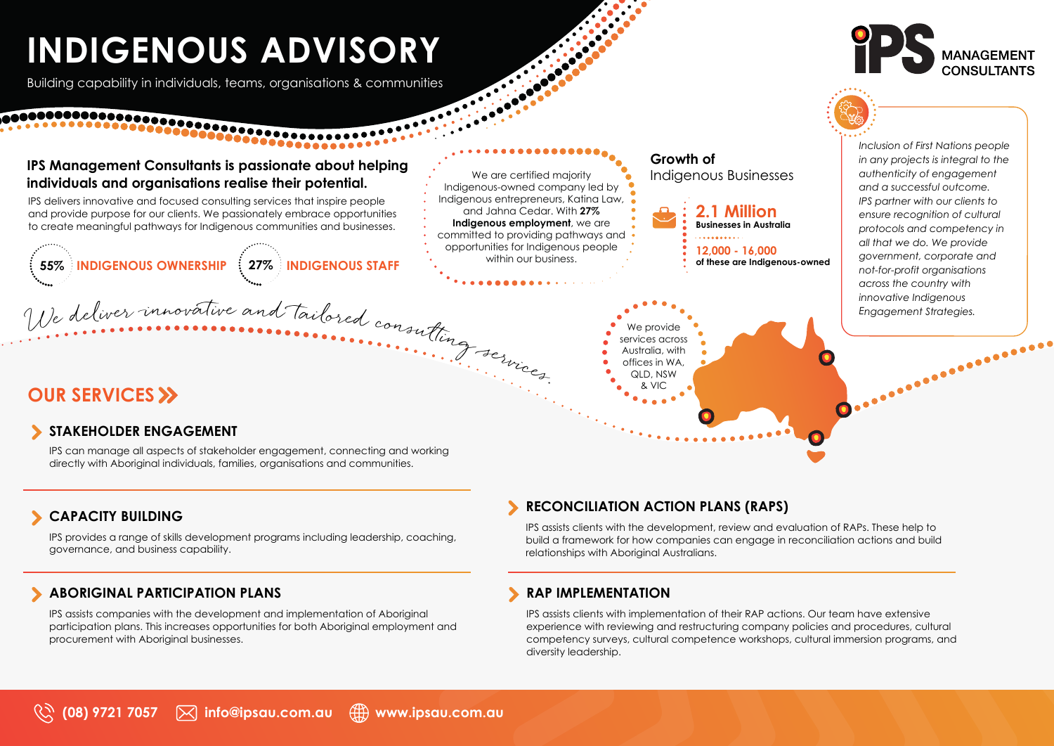# **INDIGENOUS ADVISORY**

Building capability in individuals, teams, organisations & communities

## **IPS Management Consultants is passionate about helping individuals and organisations realise their potential.**

IPS delivers innovative and focused consulting services that inspire people and provide purpose for our clients. We passionately embrace opportunities to create meaningful pathways for Indigenous communities and businesses.

**55% INDIGENOUS OWNERSHIP 27% INDIGENOUS STAFF**

We are certified majority Indigenous-owned company led by Indigenous entrepreneurs, Katina Law, and Jahna Cedar. With **27% Indigenous employment**, we are committed to providing pathways and opportunities for Indigenous people

within our business.

## **OUR SERVICES >>** And the series of the series of the series of the series of the series of the series of the series of the series of the series of the series of the series of the series of the series of the series of the

## **STAKEHOLDER ENGAGEMENT**

IPS can manage all aspects of stakeholder engagement, connecting and working directly with Aboriginal individuals, families, organisations and communities.

## **CAPACITY BUILDING**

IPS provides a range of skills development programs including leadership, coaching, governance, and business capability.

## **ABORIGINAL PARTICIPATION PLANS**

IPS assists companies with the development and implementation of Aboriginal participation plans. This increases opportunities for both Aboriginal employment and procurement with Aboriginal businesses.

## **RECONCILIATION ACTION PLANS (RAPS)**

QLD, NSW

IPS assists clients with the development, review and evaluation of RAPs. These help to build a framework for how companies can engage in reconciliation actions and build relationships with Aboriginal Australians.

## **RAP IMPLEMENTATION**

IPS assists clients with implementation of their RAP actions. Our team have extensive experience with reviewing and restructuring company policies and procedures, cultural competency surveys, cultural competence workshops, cultural immersion programs, and diversity leadership.



**MANAGEMENT**